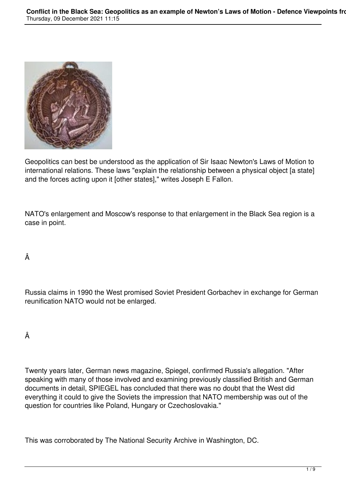

Geopolitics can best be understood as the application of Sir Isaac Newton's Laws of Motion to international relations. These laws "explain the relationship between a physical object [a state] and the forces acting upon it [other states]," writes Joseph E Fallon.

NATO's enlargement and Moscow's response to that enlargement in the Black Sea region is a case in point.

## Â

Russia claims in 1990 the West promised Soviet President Gorbachev in exchange for German reunification NATO would not be enlarged.

## Â

Twenty years later, German news magazine, Spiegel, confirmed Russia's allegation. "After speaking with many of those involved and examining previously classified British and German documents in detail, SPIEGEL has concluded that there was no doubt that the West did everything it could to give the Soviets the impression that NATO membership was out of the question for countries like Poland, Hungary or Czechoslovakia."

This was corroborated by The National Security Archive in Washington, DC.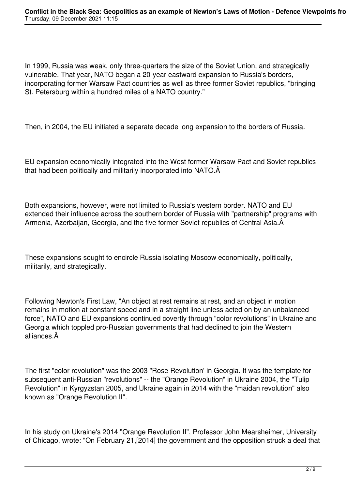In 1999, Russia was weak, only three-quarters the size of the Soviet Union, and strategically vulnerable. That year, NATO began a 20-year eastward expansion to Russia's borders, incorporating former Warsaw Pact countries as well as three former Soviet republics, "bringing St. Petersburg within a hundred miles of a NATO country."

Then, in 2004, the EU initiated a separate decade long expansion to the borders of Russia.

EU expansion economically integrated into the West former Warsaw Pact and Soviet republics that had been politically and militarily incorporated into NATO. Â

Both expansions, however, were not limited to Russia's western border. NATO and EU extended their influence across the southern border of Russia with "partnership" programs with Armenia, Azerbaijan, Georgia, and the five former Soviet republics of Central Asia. Â

These expansions sought to encircle Russia isolating Moscow economically, politically, militarily, and strategically.

Following Newton's First Law, "An object at rest remains at rest, and an object in motion remains in motion at constant speed and in a straight line unless acted on by an unbalanced force", NATO and EU expansions continued covertly through "color revolutions" in Ukraine and Georgia which toppled pro-Russian governments that had declined to join the Western alliances.

The first "color revolution" was the 2003 "Rose Revolution' in Georgia. It was the template for subsequent anti-Russian "revolutions" -- the "Orange Revolution" in Ukraine 2004, the "Tulip Revolution" in Kyrgyzstan 2005, and Ukraine again in 2014 with the "maidan revolution" also known as "Orange Revolution II".

In his study on Ukraine's 2014 "Orange Revolution II", Professor John Mearsheimer, University of Chicago, wrote: "On February 21,[2014] the government and the opposition struck a deal that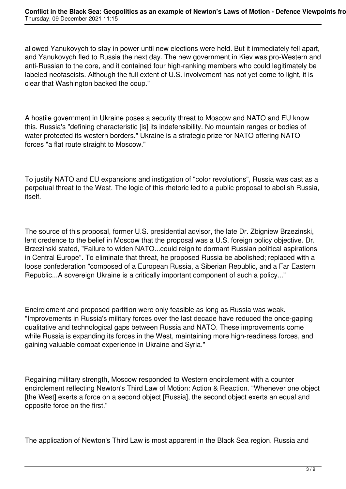allowed Yanukovych to stay in power until new elections were held. But it immediately fell apart, and Yanukovych fled to Russia the next day. The new government in Kiev was pro-Western and anti-Russian to the core, and it contained four high-ranking members who could legitimately be labeled neofascists. Although the full extent of U.S. involvement has not yet come to light, it is clear that Washington backed the coup."

A hostile government in Ukraine poses a security threat to Moscow and NATO and EU know this. Russia's "defining characteristic [is] its indefensibility. No mountain ranges or bodies of water protected its western borders." Ukraine is a strategic prize for NATO offering NATO forces "a flat route straight to Moscow."

To justify NATO and EU expansions and instigation of "color revolutions", Russia was cast as a perpetual threat to the West. The logic of this rhetoric led to a public proposal to abolish Russia, itself.

The source of this proposal, former U.S. presidential advisor, the late Dr. Zbigniew Brzezinski, lent credence to the belief in Moscow that the proposal was a U.S. foreign policy objective. Dr. Brzezinski stated, "Failure to widen NATO...could reignite dormant Russian political aspirations in Central Europe". To eliminate that threat, he proposed Russia be abolished; replaced with a loose confederation "composed of a European Russia, a Siberian Republic, and a Far Eastern Republic...A sovereign Ukraine is a critically important component of such a policy..."

Encirclement and proposed partition were only feasible as long as Russia was weak. "Improvements in Russia's military forces over the last decade have reduced the once-gaping qualitative and technological gaps between Russia and NATO. These improvements come while Russia is expanding its forces in the West, maintaining more high-readiness forces, and gaining valuable combat experience in Ukraine and Syria."

Regaining military strength, Moscow responded to Western encirclement with a counter encirclement reflecting Newton's Third Law of Motion: Action & Reaction. "Whenever one object [the West] exerts a force on a second object [Russia], the second object exerts an equal and opposite force on the first."

The application of Newton's Third Law is most apparent in the Black Sea region. Russia and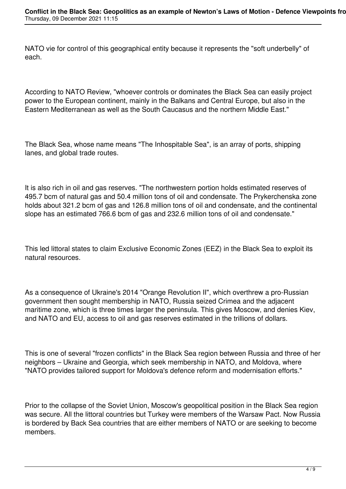NATO vie for control of this geographical entity because it represents the "soft underbelly" of each.

According to NATO Review, "whoever controls or dominates the Black Sea can easily project power to the European continent, mainly in the Balkans and Central Europe, but also in the Eastern Mediterranean as well as the South Caucasus and the northern Middle East."

The Black Sea, whose name means "The Inhospitable Sea", is an array of ports, shipping lanes, and global trade routes.

It is also rich in oil and gas reserves. "The northwestern portion holds estimated reserves of 495.7 bcm of natural gas and 50.4 million tons of oil and condensate. The Prykerchenska zone holds about 321.2 bcm of gas and 126.8 million tons of oil and condensate, and the continental slope has an estimated 766.6 bcm of gas and 232.6 million tons of oil and condensate."

This led littoral states to claim Exclusive Economic Zones (EEZ) in the Black Sea to exploit its natural resources.

As a consequence of Ukraine's 2014 "Orange Revolution II", which overthrew a pro-Russian government then sought membership in NATO, Russia seized Crimea and the adjacent maritime zone, which is three times larger the peninsula. This gives Moscow, and denies Kiev, and NATO and EU, access to oil and gas reserves estimated in the trillions of dollars.

This is one of several "frozen conflicts" in the Black Sea region between Russia and three of her neighbors – Ukraine and Georgia, which seek membership in NATO, and Moldova, where "NATO provides tailored support for Moldova's defence reform and modernisation efforts."

Prior to the collapse of the Soviet Union, Moscow's geopolitical position in the Black Sea region was secure. All the littoral countries but Turkey were members of the Warsaw Pact. Now Russia is bordered by Back Sea countries that are either members of NATO or are seeking to become members.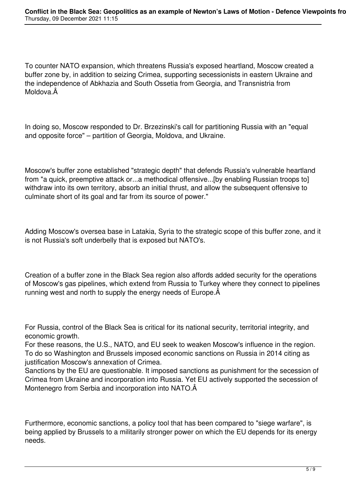To counter NATO expansion, which threatens Russia's exposed heartland, Moscow created a buffer zone by, in addition to seizing Crimea, supporting secessionists in eastern Ukraine and the independence of Abkhazia and South Ossetia from Georgia, and Transnistria from Moldova. Â

In doing so, Moscow responded to Dr. Brzezinski's call for partitioning Russia with an "equal and opposite force" – partition of Georgia, Moldova, and Ukraine.

Moscow's buffer zone established "strategic depth" that defends Russia's vulnerable heartland from "a quick, preemptive attack or...a methodical offensive...[by enabling Russian troops to] withdraw into its own territory, absorb an initial thrust, and allow the subsequent offensive to culminate short of its goal and far from its source of power."

Adding Moscow's oversea base in Latakia, Syria to the strategic scope of this buffer zone, and it is not Russia's soft underbelly that is exposed but NATO's.

Creation of a buffer zone in the Black Sea region also affords added security for the operations of Moscow's gas pipelines, which extend from Russia to Turkey where they connect to pipelines running west and north to supply the energy needs of Europe. $\hat{A}$ 

For Russia, control of the Black Sea is critical for its national security, territorial integrity, and economic growth.

For these reasons, the U.S., NATO, and EU seek to weaken Moscow's influence in the region. To do so Washington and Brussels imposed economic sanctions on Russia in 2014 citing as justification Moscow's annexation of Crimea.

Sanctions by the EU are questionable. It imposed sanctions as punishment for the secession of Crimea from Ukraine and incorporation into Russia. Yet EU actively supported the secession of Montenegro from Serbia and incorporation into NATO.

Furthermore, economic sanctions, a policy tool that has been compared to "siege warfare", is being applied by Brussels to a militarily stronger power on which the EU depends for its energy needs.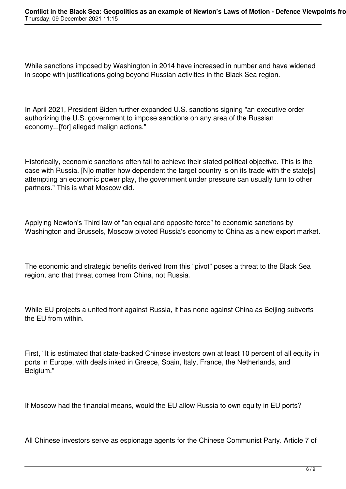While sanctions imposed by Washington in 2014 have increased in number and have widened in scope with justifications going beyond Russian activities in the Black Sea region.

In April 2021, President Biden further expanded U.S. sanctions signing "an executive order authorizing the U.S. government to impose sanctions on any area of the Russian economy...[for] alleged malign actions."

Historically, economic sanctions often fail to achieve their stated political objective. This is the case with Russia. [N]o matter how dependent the target country is on its trade with the state[s] attempting an economic power play, the government under pressure can usually turn to other partners." This is what Moscow did.

Applying Newton's Third law of "an equal and opposite force" to economic sanctions by Washington and Brussels, Moscow pivoted Russia's economy to China as a new export market.

The economic and strategic benefits derived from this "pivot" poses a threat to the Black Sea region, and that threat comes from China, not Russia.

While EU projects a united front against Russia, it has none against China as Beijing subverts the EU from within.

First, "It is estimated that state-backed Chinese investors own at least 10 percent of all equity in ports in Europe, with deals inked in Greece, Spain, Italy, France, the Netherlands, and Belgium."

If Moscow had the financial means, would the EU allow Russia to own equity in EU ports?

All Chinese investors serve as espionage agents for the Chinese Communist Party. Article 7 of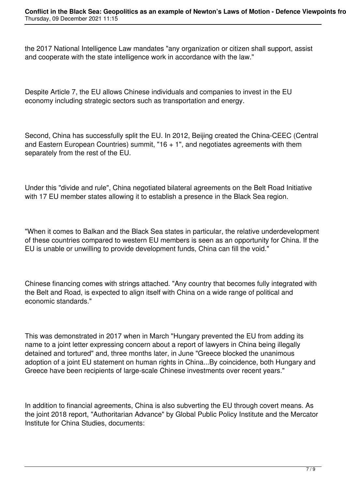the 2017 National Intelligence Law mandates "any organization or citizen shall support, assist and cooperate with the state intelligence work in accordance with the law."

Despite Article 7, the EU allows Chinese individuals and companies to invest in the EU economy including strategic sectors such as transportation and energy.

Second, China has successfully split the EU. In 2012, Beijing created the China-CEEC (Central and Eastern European Countries) summit,  $16 + 1$ ", and negotiates agreements with them separately from the rest of the EU.

Under this "divide and rule", China negotiated bilateral agreements on the Belt Road Initiative with 17 EU member states allowing it to establish a presence in the Black Sea region.

"When it comes to Balkan and the Black Sea states in particular, the relative underdevelopment of these countries compared to western EU members is seen as an opportunity for China. If the EU is unable or unwilling to provide development funds, China can fill the void."

Chinese financing comes with strings attached. "Any country that becomes fully integrated with the Belt and Road, is expected to align itself with China on a wide range of political and economic standards."

This was demonstrated in 2017 when in March "Hungary prevented the EU from adding its name to a joint letter expressing concern about a report of lawyers in China being illegally detained and tortured" and, three months later, in June "Greece blocked the unanimous adoption of a joint EU statement on human rights in China...By coincidence, both Hungary and Greece have been recipients of large-scale Chinese investments over recent years."

In addition to financial agreements, China is also subverting the EU through covert means. As the joint 2018 report, "Authoritarian Advance" by Global Public Policy Institute and the Mercator Institute for China Studies, documents: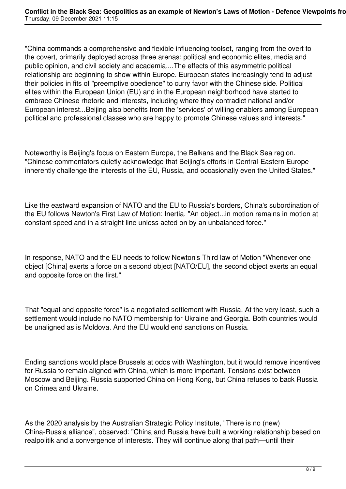"China commands a comprehensive and flexible influencing toolset, ranging from the overt to the covert, primarily deployed across three arenas: political and economic elites, media and public opinion, and civil society and academia....The effects of this asymmetric political relationship are beginning to show within Europe. European states increasingly tend to adjust their policies in fits of "preemptive obedience" to curry favor with the Chinese side. Political elites within the European Union (EU) and in the European neighborhood have started to embrace Chinese rhetoric and interests, including where they contradict national and/or European interest...Beijing also benefits from the 'services' of willing enablers among European political and professional classes who are happy to promote Chinese values and interests."

Noteworthy is Beijing's focus on Eastern Europe, the Balkans and the Black Sea region. "Chinese commentators quietly acknowledge that Beijing's efforts in Central-Eastern Europe inherently challenge the interests of the EU, Russia, and occasionally even the United States."

Like the eastward expansion of NATO and the EU to Russia's borders, China's subordination of the EU follows Newton's First Law of Motion: Inertia. "An object...in motion remains in motion at constant speed and in a straight line unless acted on by an unbalanced force."

In response, NATO and the EU needs to follow Newton's Third law of Motion "Whenever one object [China] exerts a force on a second object [NATO/EU], the second object exerts an equal and opposite force on the first."

That "equal and opposite force" is a negotiated settlement with Russia. At the very least, such a settlement would include no NATO membership for Ukraine and Georgia. Both countries would be unaligned as is Moldova. And the EU would end sanctions on Russia.

Ending sanctions would place Brussels at odds with Washington, but it would remove incentives for Russia to remain aligned with China, which is more important. Tensions exist between Moscow and Beijing. Russia supported China on Hong Kong, but China refuses to back Russia on Crimea and Ukraine.

As the 2020 analysis by the Australian Strategic Policy Institute, "There is no (new) China-Russia alliance", observed: "China and Russia have built a working relationship based on realpolitik and a convergence of interests. They will continue along that path—until their